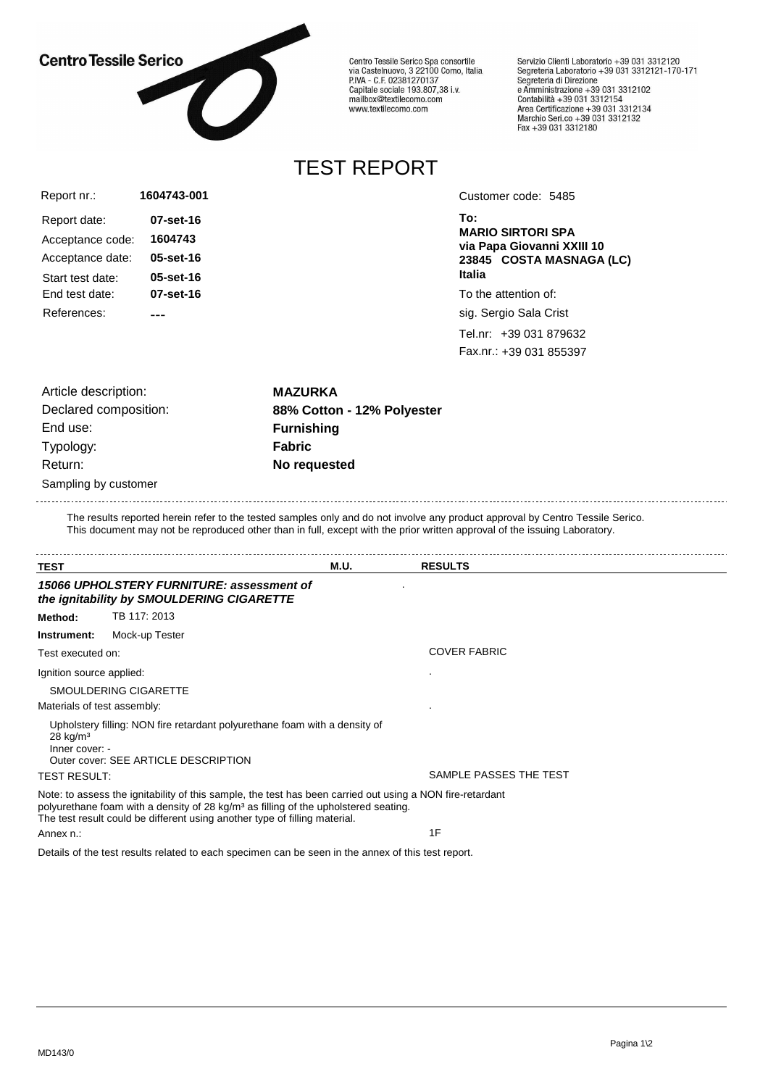#### **Centro Tessile Serico**

Acceptance code: **1604743**

Acceptance date: **05-set-16**

Start test date: **05-set-16** End test date: **07-set-16**

References: ---

Report date: **07-set-16**

Report nr.:



**1604743-001**

Centro Tessile Serico Spa consortile<br>via Castelnuovo, 3 22100 Como, Italia P.IVA - C.F. 02381270137 P.IVA - C.P. 02361270137<br>Capitale sociale 193.807,38 i.v.<br>mailbox@textilecomo.com www.textilecomo.com

Servizio Clienti Laboratorio +39 031 3312120<br>Segreteria Laboratorio +39 031 3312121-170-171 Segreteria di Direzione Segreteria di Direzione<br>e Amministrazione +39 031 3312102<br>Contabilità +39 031 3312154<br>Area Certificazione +39 031 3312134<br>Marchio Seri.co +39 031 3312132<br>Fax +39 031 3312180

# TEST REPORT

Customer code: 5485

**To: MARIO SIRTORI SPA via Papa Giovanni XXIII 10 23845 COSTA MASNAGA (LC) Italia**

To the attention of:

sig. Sergio Sala Crist

Tel.nr: +39 031 879632 Fax.nr.: +39 031 855397

Article description: **MAZURKA** End use: **Furnishing** Typology: **Fabric** Return: **No requested**

Declared composition: **88% Cotton - 12% Polyester**

Sampling by customer

The results reported herein refer to the tested samples only and do not involve any product approval by Centro Tessile Serico. This document may not be reproduced other than in full, except with the prior written approval of the issuing Laboratory.

| TEST                                                                                   |                                                                                                                                                                                                                                                                                            | M.U.                | <b>RESULTS</b>         |  |  |  |
|----------------------------------------------------------------------------------------|--------------------------------------------------------------------------------------------------------------------------------------------------------------------------------------------------------------------------------------------------------------------------------------------|---------------------|------------------------|--|--|--|
| 15066 UPHOLSTERY FURNITURE: assessment of<br>the ignitability by SMOULDERING CIGARETTE |                                                                                                                                                                                                                                                                                            |                     |                        |  |  |  |
| Method:                                                                                | TB 117: 2013                                                                                                                                                                                                                                                                               |                     |                        |  |  |  |
| Instrument:                                                                            | Mock-up Tester                                                                                                                                                                                                                                                                             |                     |                        |  |  |  |
| Test executed on:                                                                      |                                                                                                                                                                                                                                                                                            | <b>COVER FABRIC</b> |                        |  |  |  |
| Ignition source applied:                                                               |                                                                                                                                                                                                                                                                                            |                     |                        |  |  |  |
|                                                                                        | SMOULDERING CIGARETTE                                                                                                                                                                                                                                                                      |                     |                        |  |  |  |
| Materials of test assembly:                                                            |                                                                                                                                                                                                                                                                                            |                     |                        |  |  |  |
| $28$ kg/m <sup>3</sup><br>Inner cover: -                                               | Upholstery filling: NON fire retardant polyurethane foam with a density of<br>Outer cover: SEE ARTICLE DESCRIPTION                                                                                                                                                                         |                     | SAMPLE PASSES THE TEST |  |  |  |
| <b>TEST RESULT:</b>                                                                    |                                                                                                                                                                                                                                                                                            |                     |                        |  |  |  |
|                                                                                        | Note: to assess the ignitability of this sample, the test has been carried out using a NON fire-retardant<br>polyurethane foam with a density of 28 kg/m <sup>3</sup> as filling of the upholstered seating.<br>The test result could be different using another type of filling material. |                     |                        |  |  |  |
| Annex n.:                                                                              |                                                                                                                                                                                                                                                                                            | 1F                  |                        |  |  |  |

Details of the test results related to each specimen can be seen in the annex of this test report.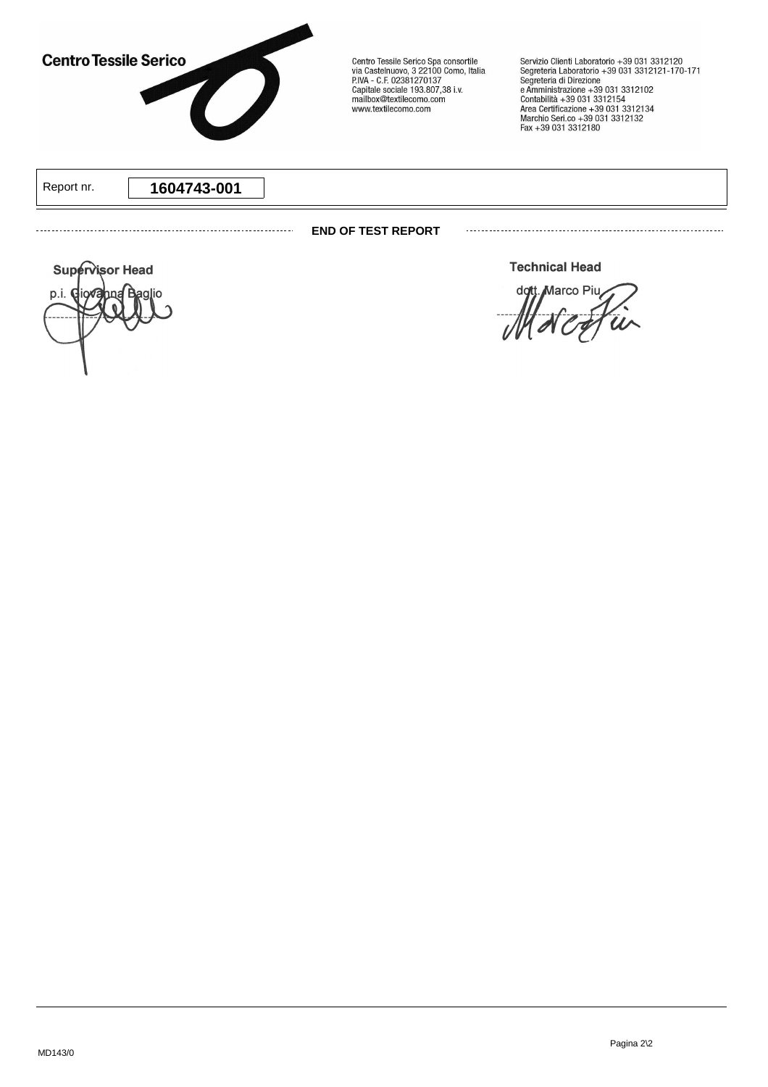

Centro Tessile Serico Spa consortile<br>via Castelnuovo, 3 22100 Como, Italia<br>P.IVA - C.F. 02381270137 P.IVA - C.P. 02361270137<br>Capitale sociale 193.807,38 i.v.<br>mailbox@textilecomo.com www.textilecomo.com

Servizio Clienti Laboratorio +39 031 3312120<br>Segreteria Laboratorio +39 031 3312121-170-171<br>Segreteria di Direzione<br>e Amministrazione +39 031 3312102<br>Contabilità +39 031 3312154<br>Area Certificazione +39 031 3312134<br>Marchio

Report nr. **1604743-001**

#### **END OF TEST REPORT**

**Supervisor Head** p.i. C iox Segretario **Technical Head** 

Marco Piu dott